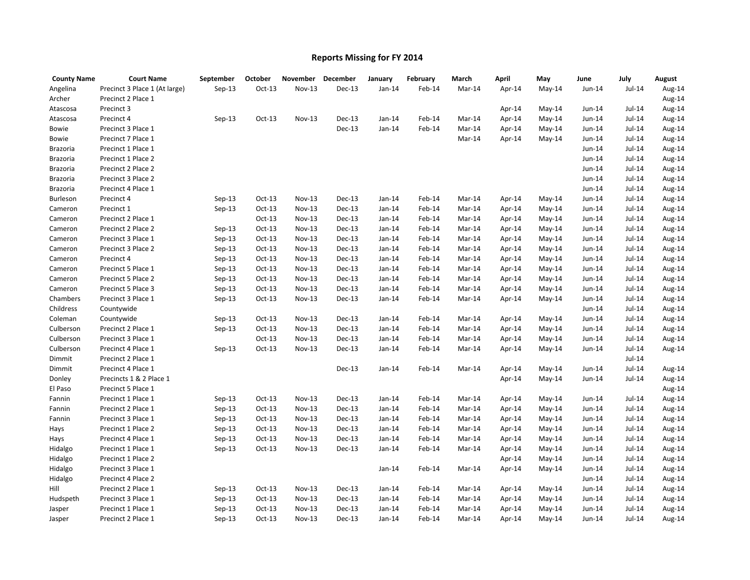## **Reports Missing for FY 2014**

| <b>County Name</b> | <b>Court Name</b>             | September | October  | November      | December      | January  | February | March  | April  | May      | June   | July     | August |
|--------------------|-------------------------------|-----------|----------|---------------|---------------|----------|----------|--------|--------|----------|--------|----------|--------|
| Angelina           | Precinct 3 Place 1 (At large) | $Sep-13$  | $Oct-13$ | <b>Nov-13</b> | Dec-13        | $Jan-14$ | Feb-14   | Mar-14 | Apr-14 | May-14   | Jun-14 | Jul-14   | Aug-14 |
| Archer             | Precinct 2 Place 1            |           |          |               |               |          |          |        |        |          |        |          | Aug-14 |
| Atascosa           | Precinct 3                    |           |          |               |               |          |          |        | Apr-14 | May-14   | Jun-14 | Jul-14   | Aug-14 |
| Atascosa           | Precinct 4                    | $Sep-13$  | $Oct-13$ | Nov-13        | <b>Dec-13</b> | $Jan-14$ | Feb-14   | Mar-14 | Apr-14 | May-14   | Jun-14 | $Jul-14$ | Aug-14 |
| Bowie              | Precinct 3 Place 1            |           |          |               | Dec-13        | $Jan-14$ | Feb-14   | Mar-14 | Apr-14 | May-14   | Jun-14 | Jul-14   | Aug-14 |
| Bowie              | Precinct 7 Place 1            |           |          |               |               |          |          | Mar-14 | Apr-14 | May-14   | Jun-14 | Jul-14   | Aug-14 |
| Brazoria           | Precinct 1 Place 1            |           |          |               |               |          |          |        |        |          | Jun-14 | $Jul-14$ | Aug-14 |
| Brazoria           | Precinct 1 Place 2            |           |          |               |               |          |          |        |        |          | Jun-14 | Jul-14   | Aug-14 |
| <b>Brazoria</b>    | Precinct 2 Place 2            |           |          |               |               |          |          |        |        |          | Jun-14 | Jul-14   | Aug-14 |
| Brazoria           | Precinct 3 Place 2            |           |          |               |               |          |          |        |        |          | Jun-14 | $Jul-14$ | Aug-14 |
| Brazoria           | Precinct 4 Place 1            |           |          |               |               |          |          |        |        |          | Jun-14 | Jul-14   | Aug-14 |
| Burleson           | Precinct 4                    | $Sep-13$  | $Oct-13$ | Nov-13        | <b>Dec-13</b> | $Jan-14$ | Feb-14   | Mar-14 | Apr-14 | May-14   | Jun-14 | $Jul-14$ | Aug-14 |
| Cameron            | Precinct 1                    | $Sep-13$  | $Oct-13$ | Nov-13        | Dec-13        | $Jan-14$ | Feb-14   | Mar-14 | Apr-14 | May-14   | Jun-14 | Jul-14   | Aug-14 |
| Cameron            | Precinct 2 Place 1            |           | $Oct-13$ | Nov-13        | Dec-13        | $Jan-14$ | Feb-14   | Mar-14 | Apr-14 | May-14   | Jun-14 | Jul-14   | Aug-14 |
| Cameron            | Precinct 2 Place 2            | $Sep-13$  | $Oct-13$ | Nov-13        | <b>Dec-13</b> | $Jan-14$ | Feb-14   | Mar-14 | Apr-14 | May-14   | Jun-14 | $Jul-14$ | Aug-14 |
| Cameron            | Precinct 3 Place 1            | $Sep-13$  | $Oct-13$ | Nov-13        | Dec-13        | $Jan-14$ | Feb-14   | Mar-14 | Apr-14 | May-14   | Jun-14 | $Jul-14$ | Aug-14 |
| Cameron            | Precinct 3 Place 2            | $Sep-13$  | $Oct-13$ | Nov-13        | <b>Dec-13</b> | $Jan-14$ | Feb-14   | Mar-14 | Apr-14 | May-14   | Jun-14 | $Jul-14$ | Aug-14 |
| Cameron            | Precinct 4                    | $Sep-13$  | $Oct-13$ | Nov-13        | Dec-13        | $Jan-14$ | Feb-14   | Mar-14 | Apr-14 | May-14   | Jun-14 | Jul-14   | Aug-14 |
| Cameron            | Precinct 5 Place 1            | $Sep-13$  | $Oct-13$ | Nov-13        | Dec-13        | $Jan-14$ | Feb-14   | Mar-14 | Apr-14 | May-14   | Jun-14 | Jul-14   | Aug-14 |
| Cameron            | Precinct 5 Place 2            | $Sep-13$  | $Oct-13$ | Nov-13        | Dec-13        | $Jan-14$ | Feb-14   | Mar-14 | Apr-14 | May-14   | Jun-14 | Jul-14   | Aug-14 |
| Cameron            | Precinct 5 Place 3            | $Sep-13$  | $Oct-13$ | Nov-13        | Dec-13        | $Jan-14$ | Feb-14   | Mar-14 | Apr-14 | May-14   | Jun-14 | Jul-14   | Aug-14 |
| Chambers           | Precinct 3 Place 1            | $Sep-13$  | $Oct-13$ | $Nov-13$      | Dec-13        | $Jan-14$ | Feb-14   | Mar-14 | Apr-14 | May-14   | Jun-14 | Jul-14   | Aug-14 |
| Childress          | Countywide                    |           |          |               |               |          |          |        |        |          | Jun-14 | Jul-14   | Aug-14 |
| Coleman            | Countywide                    | $Sep-13$  | $Oct-13$ | Nov-13        | Dec-13        | Jan-14   | Feb-14   | Mar-14 | Apr-14 | May-14   | Jun-14 | Jul-14   | Aug-14 |
| Culberson          | Precinct 2 Place 1            | $Sep-13$  | $Oct-13$ | Nov-13        | <b>Dec-13</b> | $Jan-14$ | Feb-14   | Mar-14 | Apr-14 | May-14   | Jun-14 | $Jul-14$ | Aug-14 |
| Culberson          | Precinct 3 Place 1            |           | $Oct-13$ | Nov-13        | Dec-13        | $Jan-14$ | Feb-14   | Mar-14 | Apr-14 | $May-14$ | Jun-14 | Jul-14   | Aug-14 |
| Culberson          | Precinct 4 Place 1            | $Sep-13$  | $Oct-13$ | <b>Nov-13</b> | Dec-13        | $Jan-14$ | Feb-14   | Mar-14 | Apr-14 | May-14   | Jun-14 | $Jul-14$ | Aug-14 |
| Dimmit             | Precinct 2 Place 1            |           |          |               |               |          |          |        |        |          |        | Jul-14   |        |
| Dimmit             | Precinct 4 Place 1            |           |          |               | Dec-13        | Jan-14   | Feb-14   | Mar-14 | Apr-14 | $May-14$ | Jun-14 | Jul-14   | Aug-14 |
| Donley             | Precincts 1 & 2 Place 1       |           |          |               |               |          |          |        | Apr-14 | May-14   | Jun-14 | Jul-14   | Aug-14 |
| El Paso            | Precinct 5 Place 1            |           |          |               |               |          |          |        |        |          |        |          | Aug-14 |
| Fannin             | Precinct 1 Place 1            | Sep-13    | $Oct-13$ | <b>Nov-13</b> | Dec-13        | Jan-14   | Feb-14   | Mar-14 | Apr-14 | May-14   | Jun-14 | Jul-14   | Aug-14 |
| Fannin             | Precinct 2 Place 1            | $Sep-13$  | $Oct-13$ | Nov-13        | Dec-13        | $Jan-14$ | Feb-14   | Mar-14 | Apr-14 | May-14   | Jun-14 | $Jul-14$ | Aug-14 |
| Fannin             | Precinct 3 Place 1            | $Sep-13$  | $Oct-13$ | Nov-13        | Dec-13        | $Jan-14$ | Feb-14   | Mar-14 | Apr-14 | May-14   | Jun-14 | Jul-14   | Aug-14 |
| Hays               | Precinct 1 Place 2            | $Sep-13$  | $Oct-13$ | $Nov-13$      | Dec-13        | $Jan-14$ | Feb-14   | Mar-14 | Apr-14 | May-14   | Jun-14 | Jul-14   | Aug-14 |
| Hays               | Precinct 4 Place 1            | $Sep-13$  | $Oct-13$ | Nov-13        | <b>Dec-13</b> | $Jan-14$ | Feb-14   | Mar-14 | Apr-14 | May-14   | Jun-14 | Jul-14   | Aug-14 |
| Hidalgo            | Precinct 1 Place 1            | $Sep-13$  | $Oct-13$ | Nov-13        | Dec-13        | $Jan-14$ | Feb-14   | Mar-14 | Apr-14 | May-14   | Jun-14 | Jul-14   | Aug-14 |
| Hidalgo            | Precinct 1 Place 2            |           |          |               |               |          |          |        | Apr-14 | $May-14$ | Jun-14 | $Jul-14$ | Aug-14 |
| Hidalgo            | Precinct 3 Place 1            |           |          |               |               | $Jan-14$ | Feb-14   | Mar-14 | Apr-14 | $May-14$ | Jun-14 | $Jul-14$ | Aug-14 |
| Hidalgo            | Precinct 4 Place 2            |           |          |               |               |          |          |        |        |          | Jun-14 | Jul-14   | Aug-14 |
| Hill               | Precinct 2 Place 1            | $Sep-13$  | $Oct-13$ | <b>Nov-13</b> | Dec-13        | Jan-14   | Feb-14   | Mar-14 | Apr-14 | $May-14$ | Jun-14 | Jul-14   | Aug-14 |
| Hudspeth           | Precinct 3 Place 1            | $Sep-13$  | $Oct-13$ | Nov-13        | Dec-13        | $Jan-14$ | Feb-14   | Mar-14 | Apr-14 | May-14   | Jun-14 | Jul-14   | Aug-14 |
| Jasper             | Precinct 1 Place 1            | $Sep-13$  | $Oct-13$ | <b>Nov-13</b> | Dec-13        | $Jan-14$ | Feb-14   | Mar-14 | Apr-14 | May-14   | Jun-14 | Jul-14   | Aug-14 |
| Jasper             | Precinct 2 Place 1            | $Sep-13$  | $Oct-13$ | <b>Nov-13</b> | Dec-13        | $Jan-14$ | Feb-14   | Mar-14 | Apr-14 | $May-14$ | Jun-14 | Jul-14   | Aug-14 |